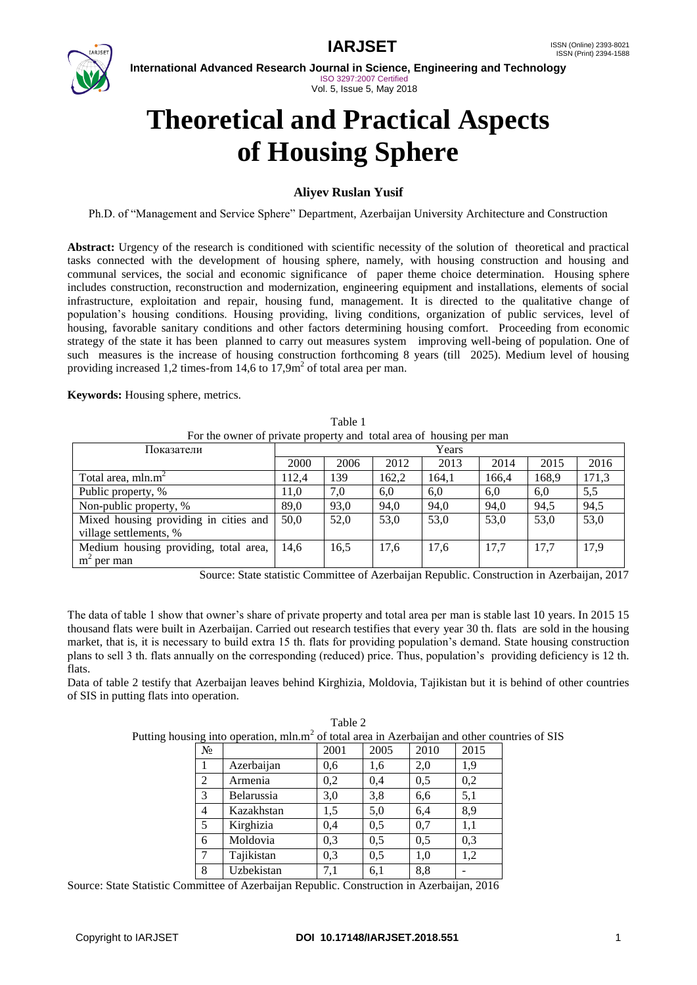

**International Advanced Research Journal in Science, Engineering and Technology** ISO 3297:2007 Certified Vol. 5, Issue 5, May 2018

# **Theoretical and Practical Aspects of Housing Sphere**

# **Aliyev Ruslan Yusif**

Ph.D. of "Management and Service Sphere" Department, Azerbaijan University Architecture and Construction

**Abstract:** Urgency of the research is conditioned with scientific necessity of the solution of theoretical and practical tasks connected with the development of housing sphere, namely, with housing construction and housing and communal services, the social and economic significance of paper theme choice determination. Housing sphere includes construction, reconstruction and modernization, engineering equipment and installations, elements of social infrastructure, exploitation and repair, housing fund, management. It is directed to the qualitative change of population's housing conditions. Housing providing, living conditions, organization of public services, level of housing, favorable sanitary conditions and other factors determining housing comfort. Proceeding from economic strategy of the state it has been planned to carry out measures system improving well-being of population. One of such measures is the increase of housing construction forthcoming 8 years (till 2025). Medium level of housing providing increased 1,2 times-from 14,6 to  $17,9m^2$  of total area per man.

**Keywords:** Housing sphere, metrics.

Table 1 For the owner of private property and total area of housing per man

| Показатели                            |       |      | Years |       |       |       |       |
|---------------------------------------|-------|------|-------|-------|-------|-------|-------|
|                                       | 2000  | 2006 | 2012  | 2013  | 2014  | 2015  | 2016  |
| Total area, $mln.m^2$                 | 112.4 | 139  | 162,2 | 164,1 | 166,4 | 168,9 | 171,3 |
| Public property, %                    | 11.0  | 7,0  | 6,0   | 6,0   | 6,0   | 6,0   | 5,5   |
| Non-public property, %                | 89,0  | 93,0 | 94,0  | 94,0  | 94,0  | 94,5  | 94,5  |
| Mixed housing providing in cities and | 50.0  | 52,0 | 53,0  | 53,0  | 53,0  | 53,0  | 53,0  |
| village settlements, %                |       |      |       |       |       |       |       |
| Medium housing providing, total area, | 14,6  | 16,5 | 17,6  | 17,6  | 17.7  | 17.7  | 17,9  |
| $m2$ per man                          |       |      |       |       |       |       |       |

Source: State statistic Committee of Azerbaijan Republic. Construction in Azerbaijan, 2017

The data of table 1 show that owner's share of private property and total area per man is stable last 10 years. In 2015 15 thousand flats were built in Azerbaijan. Carried out research testifies that every year 30 th. flats are sold in the housing market, that is, it is necessary to build extra 15 th. flats for providing population's demand. State housing construction plans to sell 3 th. flats annually on the corresponding (reduced) price. Thus, population's providing deficiency is 12 th. flats.

Data of table 2 testify that Azerbaijan leaves behind Kirghizia, Moldovia, Tajikistan but it is behind of other countries of SIS in putting flats into operation.

|       |                                                                                                           | Table 2 |      |         |       |  |
|-------|-----------------------------------------------------------------------------------------------------------|---------|------|---------|-------|--|
|       | Putting housing into operation, mln.m <sup>2</sup> of total area in Azerbaijan and other countries of SIS |         |      |         |       |  |
| $N_2$ |                                                                                                           | 2001    | 2005 | $-2010$ | 12015 |  |

| No.            |            | 2001 | 2005 | 2010 | 2015 |
|----------------|------------|------|------|------|------|
|                | Azerbaijan | 0,6  | 1,6  | 2,0  | 1,9  |
| $\overline{2}$ | Armenia    | 0,2  | 0,4  | 0,5  | 0,2  |
| 3              | Belarussia | 3,0  | 3,8  | 6,6  | 5,1  |
| 4              | Kazakhstan | 1,5  | 5,0  | 6,4  | 8,9  |
| 5              | Kirghizia  | 0,4  | 0,5  | 0,7  | 1,1  |
| 6              | Moldovia   | 0,3  | 0,5  | 0,5  | 0,3  |
| 7              | Tajikistan | 0,3  | 0,5  | 1,0  | 1,2  |
| 8              | Uzbekistan | 7,1  | 6,1  | 8,8  |      |

Source: State Statistic Committee of Azerbaijan Republic. Construction in Azerbaijan, 2016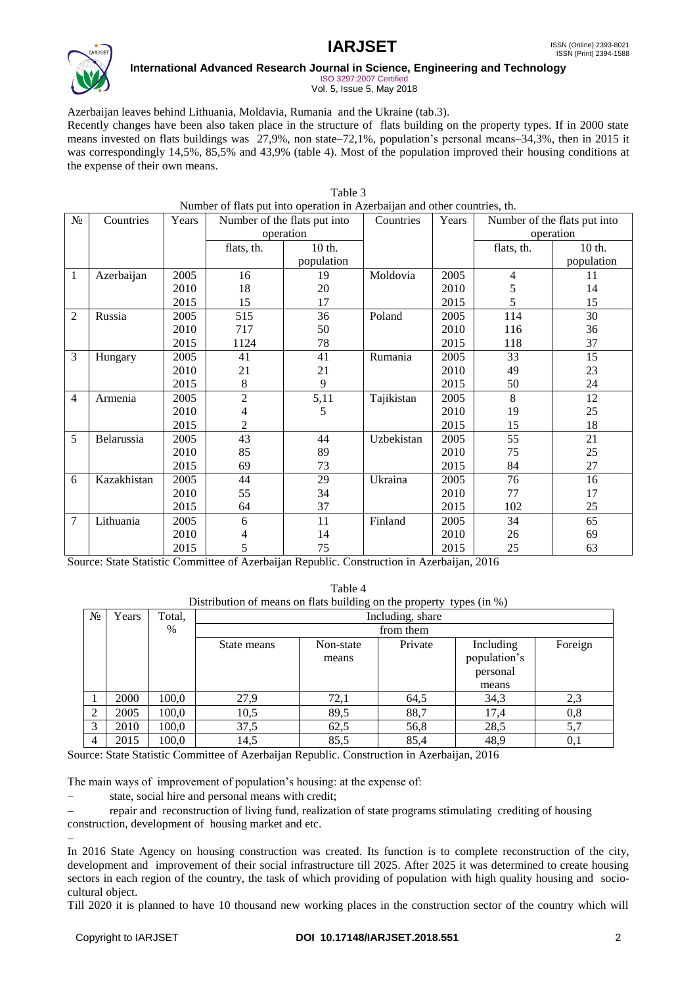

### **International Advanced Research Journal in Science, Engineering and Technology** ISO 3297:2007 Certified

Vol. 5, Issue 5, May 2018

Azerbaijan leaves behind Lithuania, Moldavia, Rumania and the Ukraine (tab.3). Recently changes have been also taken place in the structure of flats building on the property types. If in 2000 state means invested on flats buildings was 27,9%, non state–72,1%, population's personal means–34,3%, then in 2015 it was correspondingly 14,5%, 85,5% and 43,9% (table 4). Most of the population improved their housing conditions at the expense of their own means.

|       | Table 3                                                                   |       |                              |            |            |       |                              |            |
|-------|---------------------------------------------------------------------------|-------|------------------------------|------------|------------|-------|------------------------------|------------|
|       | Number of flats put into operation in Azerbaijan and other countries, th. |       |                              |            |            |       |                              |            |
| $N_2$ | Countries                                                                 | Years | Number of the flats put into |            | Countries  | Years | Number of the flats put into |            |
|       |                                                                           |       |                              | operation  |            |       | operation                    |            |
|       |                                                                           |       | flats, th.                   | 10 th.     |            |       | flats, th.                   | 10 th.     |
|       |                                                                           |       |                              | population |            |       |                              | population |
| 1     | Azerbaijan                                                                | 2005  | 16                           | 19         | Moldovia   | 2005  | 4                            | 11         |
|       |                                                                           | 2010  | 18                           | 20         |            | 2010  | 5                            | 14         |
|       |                                                                           | 2015  | 15                           | 17         |            | 2015  | 5                            | 15         |
| 2     | Russia                                                                    | 2005  | 515                          | 36         | Poland     | 2005  | 114                          | 30         |
|       |                                                                           | 2010  | 717                          | 50         |            | 2010  | 116                          | 36         |
|       |                                                                           | 2015  | 1124                         | 78         |            | 2015  | 118                          | 37         |
| 3     | Hungary                                                                   | 2005  | 41                           | 41         | Rumania    | 2005  | 33                           | 15         |
|       |                                                                           | 2010  | 21                           | 21         |            | 2010  | 49                           | 23         |
|       |                                                                           | 2015  | 8                            | 9          |            | 2015  | 50                           | 24         |
| 4     | Armenia                                                                   | 2005  | $\overline{c}$               | 5,11       | Tajikistan | 2005  | 8                            | 12         |
|       |                                                                           | 2010  | 4                            | 5          |            | 2010  | 19                           | 25         |
|       |                                                                           | 2015  | $\overline{2}$               |            |            | 2015  | 15                           | 18         |
| 5     | Belarussia                                                                | 2005  | $\overline{43}$              | 44         | Uzbekistan | 2005  | 55                           | 21         |
|       |                                                                           | 2010  | 85                           | 89         |            | 2010  | 75                           | 25         |
|       |                                                                           | 2015  | 69                           | 73         |            | 2015  | 84                           | 27         |
| 6     | Kazakhistan                                                               | 2005  | 44                           | 29         | Ukraina    | 2005  | 76                           | 16         |
|       |                                                                           | 2010  | 55                           | 34         |            | 2010  | 77                           | 17         |
|       |                                                                           | 2015  | 64                           | 37         |            | 2015  | 102                          | 25         |
| 7     | Lithuania                                                                 | 2005  | 6                            | 11         | Finland    | 2005  | 34                           | 65         |
|       |                                                                           | 2010  | 4                            | 14         |            | 2010  | 26                           | 69         |
|       |                                                                           | 2015  | 5                            | 75         |            | 2015  | 25                           | 63         |

Source: State Statistic Committee of Azerbaijan Republic. Construction in Azerbaijan, 2016

Table 4 Distribution of means on flats building on the property types (in %)

| $N_2$ | Years | Total, | Including, share |           |         |              |         |
|-------|-------|--------|------------------|-----------|---------|--------------|---------|
|       |       | $\%$   | from them        |           |         |              |         |
|       |       |        | State means      | Non-state | Private | Including    | Foreign |
|       |       |        |                  | means     |         | population's |         |
|       |       |        |                  |           |         | personal     |         |
|       |       |        |                  |           |         | means        |         |
|       | 2000  | 100,0  | 27,9             | 72,1      | 64,5    | 34,3         | 2,3     |
| 2     | 2005  | 100,0  | 10,5             | 89,5      | 88,7    | 17,4         | 0,8     |
| 3     | 2010  | 100,0  | 37,5             | 62,5      | 56,8    | 28,5         | 5,7     |
| 4     | 2015  | 100,0  | 14,5             | 85,5      | 85,4    | 48,9         | 0,1     |

Source: State Statistic Committee of Azerbaijan Republic. Construction in Azerbaijan, 2016

The main ways of improvement of population's housing: at the expense of:

state, social hire and personal means with credit;

 repair and reconstruction of living fund, realization of state programs stimulating crediting of housing construction, development of housing market and etc.

 $\overline{a}$ 

In 2016 State Agency on housing construction was created. Its function is to complete reconstruction of the city, development and improvement of their social infrastructure till 2025. After 2025 it was determined to create housing sectors in each region of the country, the task of which providing of population with high quality housing and sociocultural object.

Till 2020 it is planned to have 10 thousand new working places in the construction sector of the country which will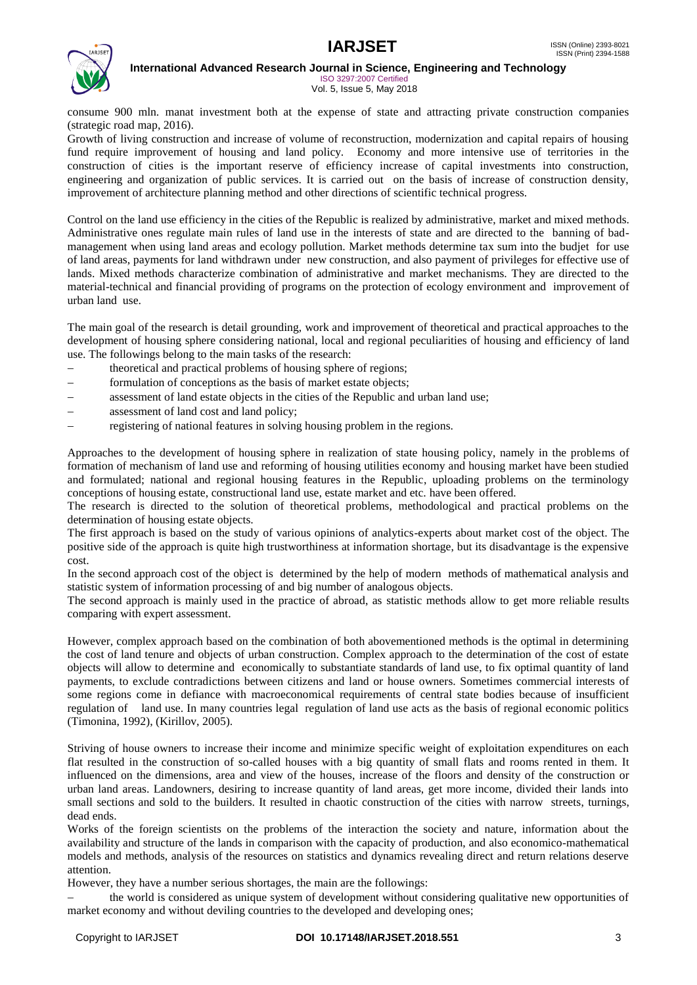



**International Advanced Research Journal in Science, Engineering and Technology** ISO 3297:2007 Certified

Vol. 5, Issue 5, May 2018

consume 900 mln. manat investment both at the expense of state and attracting private construction companies (strategic road map, 2016).

Growth of living construction and increase of volume of reconstruction, modernization and capital repairs of housing fund require improvement of housing and land policy. Economy and more intensive use of territories in the construction of cities is the important reserve of efficiency increase of capital investments into construction, engineering and organization of public services. It is carried out on the basis of increase of construction density, improvement of architecture planning method and other directions of scientific technical progress.

Control on the land use efficiency in the cities of the Republic is realized by administrative, market and mixed methods. Administrative ones regulate main rules of land use in the interests of state and are directed to the banning of badmanagement when using land areas and ecology pollution. Market methods determine tax sum into the budjet for use of land areas, payments for land withdrawn under new construction, and also payment of privileges for effective use of lands. Mixed methods characterize combination of administrative and market mechanisms. They are directed to the material-technical and financial providing of programs on the protection of ecology environment and improvement of urban land use.

The main goal of the research is detail grounding, work and improvement of theoretical and practical approaches to the development of housing sphere considering national, local and regional peculiarities of housing and efficiency of land use. The followings belong to the main tasks of the research:

- theoretical and practical problems of housing sphere of regions;
- formulation of conceptions as the basis of market estate objects;
- assessment of land estate objects in the cities of the Republic and urban land use;
- assessment of land cost and land policy;
- registering of national features in solving housing problem in the regions.

Approaches to the development of housing sphere in realization of state housing policy, namely in the problems of formation of mechanism of land use and reforming of housing utilities economy and housing market have been studied and formulated; national and regional housing features in the Republic, uploading problems on the terminology conceptions of housing estate, constructional land use, estate market and etc. have been offered.

The research is directed to the solution of theoretical problems, methodological and practical problems on the determination of housing estate objects.

The first approach is based on the study of various opinions of analytics-experts about market cost of the object. The positive side of the approach is quite high trustworthiness at information shortage, but its disadvantage is the expensive cost.

In the second approach cost of the object is determined by the help of modern methods of mathematical analysis and statistic system of information processing of and big number of analogous objects.

The second approach is mainly used in the practice of abroad, as statistic methods allow to get more reliable results comparing with expert assessment.

However, complex approach based on the combination of both abovementioned methods is the optimal in determining the cost of land tenure and objects of urban construction. Complex approach to the determination of the cost of estate objects will allow to determine and economically to substantiate standards of land use, to fix optimal quantity of land payments, to exclude contradictions between citizens and land or house owners. Sometimes commercial interests of some regions come in defiance with macroeconomical requirements of central state bodies because of insufficient regulation of land use. In many countries legal regulation of land use acts as the basis of regional economic politics (Timonina, 1992), (Kirillov, 2005).

Striving of house owners to increase their income and minimize specific weight of exploitation expenditures on each flat resulted in the construction of so-called houses with a big quantity of small flats and rooms rented in them. It influenced on the dimensions, area and view of the houses, increase of the floors and density of the construction or urban land areas. Landowners, desiring to increase quantity of land areas, get more income, divided their lands into small sections and sold to the builders. It resulted in chaotic construction of the cities with narrow streets, turnings, dead ends.

Works of the foreign scientists on the problems of the interaction the society and nature, information about the availability and structure of the lands in comparison with the capacity of production, and also economico-mathematical models and methods, analysis of the resources on statistics and dynamics revealing direct and return relations deserve attention.

However, they have a number serious shortages, the main are the followings:

 the world is considered as unique system of development without considering qualitative new opportunities of market economy and without deviling countries to the developed and developing ones;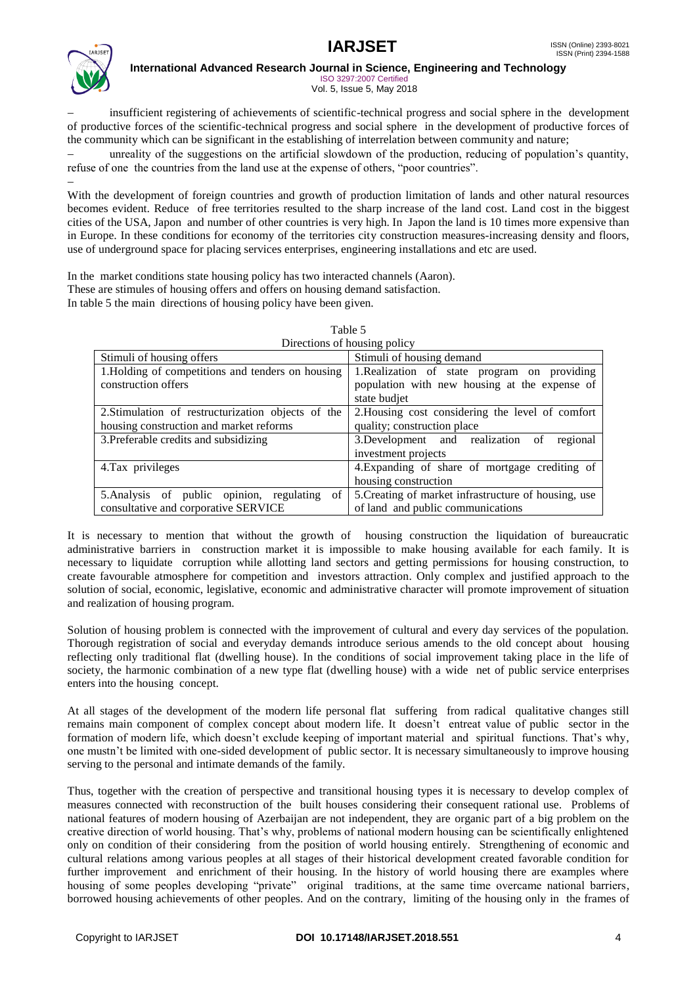



**International Advanced Research Journal in Science, Engineering and Technology**

ISO 3297:2007 Certified Vol. 5, Issue 5, May 2018

 insufficient registering of achievements of scientific-technical progress and social sphere in the development of productive forces of the scientific-technical progress and social sphere in the development of productive forces of the community which can be significant in the establishing of interrelation between community and nature;

 unreality of the suggestions on the artificial slowdown of the production, reducing of population's quantity, refuse of one the countries from the land use at the expense of others, "poor countries".

 $\overline{a}$ With the development of foreign countries and growth of production limitation of lands and other natural resources becomes evident. Reduce of free territories resulted to the sharp increase of the land cost. Land cost in the biggest cities of the USA, Japon and number of other countries is very high. In Japon the land is 10 times more expensive than in Europe. In these conditions for economy of the territories city construction measures-increasing density and floors, use of underground space for placing services enterprises, engineering installations and etc are used.

In the market conditions state housing policy has two interacted channels (Aaron). These are stimules of housing offers and offers on housing demand satisfaction. In table 5 the main directions of housing policy have been given.

|                                                    | Directions of housing policy                         |
|----------------------------------------------------|------------------------------------------------------|
| Stimuli of housing offers                          | Stimuli of housing demand                            |
| 1. Holding of competitions and tenders on housing  | 1. Realization of state program on providing         |
| construction offers                                | population with new housing at the expense of        |
|                                                    | state budjet                                         |
| 2. Stimulation of restructurization objects of the | 2. Housing cost considering the level of comfort     |
| housing construction and market reforms            | quality; construction place                          |
| 3. Preferable credits and subsidizing              | 3. Development and realization of<br>regional        |
|                                                    | investment projects                                  |
| 4.Tax privileges                                   | 4. Expanding of share of mortgage crediting of       |
|                                                    | housing construction                                 |
| 5. Analysis of public opinion, regulating<br>of    | 5. Creating of market infrastructure of housing, use |
| consultative and corporative SERVICE               | of land and public communications                    |

| Table 5                      |
|------------------------------|
| Diractions of housing police |

It is necessary to mention that without the growth of housing construction the liquidation of bureaucratic administrative barriers in construction market it is impossible to make housing available for each family. It is necessary to liquidate corruption while allotting land sectors and getting permissions for housing construction, to create favourable atmosphere for competition and investors attraction. Only complex and justified approach to the solution of social, economic, legislative, economic and administrative character will promote improvement of situation and realization of housing program.

Solution of housing problem is connected with the improvement of cultural and every day services of the population. Thorough registration of social and everyday demands introduce serious amends to the old concept about housing reflecting only traditional flat (dwelling house). In the conditions of social improvement taking place in the life of society, the harmonic combination of a new type flat (dwelling house) with a wide net of public service enterprises enters into the housing concept.

At all stages of the development of the modern life personal flat suffering from radical qualitative changes still remains main component of complex concept about modern life. It doesn't entreat value of public sector in the formation of modern life, which doesn't exclude keeping of important material and spiritual functions. That's why, one mustn't be limited with one-sided development of public sector. It is necessary simultaneously to improve housing serving to the personal and intimate demands of the family.

Thus, together with the creation of perspective and transitional housing types it is necessary to develop complex of measures connected with reconstruction of the built houses considering their consequent rational use. Problems of national features of modern housing of Azerbaijan are not independent, they are organic part of a big problem on the creative direction of world housing. That's why, problems of national modern housing can be scientifically enlightened only on condition of their considering from the position of world housing entirely. Strengthening of economic and cultural relations among various peoples at all stages of their historical development created favorable condition for further improvement and enrichment of their housing. In the history of world housing there are examples where housing of some peoples developing "private" original traditions, at the same time overcame national barriers, borrowed housing achievements of other peoples. And on the contrary, limiting of the housing only in the frames of